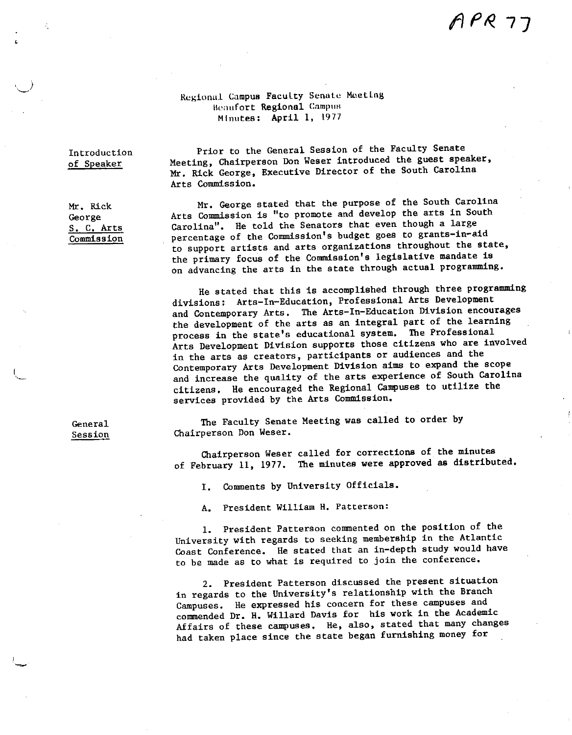# $APR$  7]

#### Regional Campus Faculty Senate Meeting Beaufort Regional Campus Minutes: April I, 1977

Introduction of Speaker

Mr, Rick George S. C, Arts Commission

 $\cup$ 

I '·- Meeting, Chairperson Don Weser introduced the guest speaker, Mr, Rick George, Executive Director of the South Carolina Arts Commission. Mr, George stated that the purpose of the South Carolina

Arts Commission is "to promote and develop the arts in South Carolina", He told the Senators that even though a large percentage of the Commission's budget goes to grants-in-aid to support artists and arts organizations throughout the state, the primary focus of the Commission's legislative mandate **is**  on advancing the arts in the state through actual programming.

Prior to the General Session of the Faculty Senate

He stated that this is accomplished through three programming divisions: Arts-In-Education, Professional Arts Development and Contemporary Arts, The Arts-In-Education Division encourages the development of the arts as an integral part of the learning process in the state's educational system, The Professional Arts Development Division supports those citizens who are involved in the arts as creators, participants or audiences and the Contemporary Arts Development Division aims to expand the scope and increase the quality of the arts experience of South Carolina citizens, He encouraged the Regional Campuses to utilize the services provided by the Arts Commission,

General Session

The Faculty Senate Meeting was called to order by Chairperson Don Weser,

Chairperson Weser called for corrections of the minutes of February 11, 1977. The minutes were approved as distributed,

I. Comments by University Officials.

A, President William H. Patterson:

1. President Patterson commented on the position of the University with regards to seeking membership in the Atlantic Coast Conference. He stated that an in-depth study would have **to be made as to what is required to join the conference.** 

2. President Patterson discussed the present situation in regards to the University's relationship with the Branch Campuses. He expressed his concern for these campuses and commended Dr. H. Willard Davis for his work in the Academic Affairs of these campuses, He, also, stated that many changes had taken place since the state began furnishing money for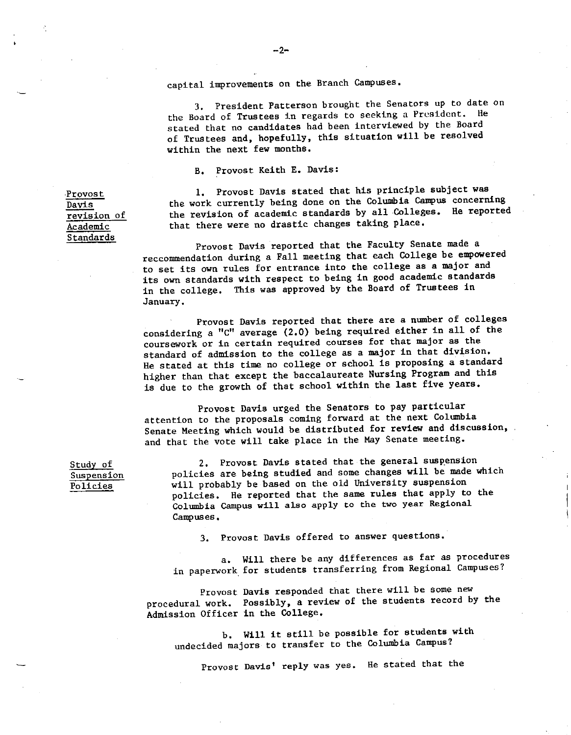capital improvements on the Branch Campuses.

3. President Patterson brought the Senators up to date on the Board of Trustees in regards to seeking a President. He stated that no candidates had been interviewed by the Board of Trustees and, hopefully, this situation will be resolved within the next few months.

B. Provost Keith E. Davis:

1. Provost Davis stated that his principle subject was the work currently being done on the Columbia Campus concerning the revision of academic standards by all Colleges. He reported that there were no drastic changes taking place.

Provost Davis reported that the Faculty Senate made a reccommendation during a Fall meeting that each College be empowere<sup>d</sup> to set its own rules for entrance into the college as <sup>a</sup>major and its own standards with respect to being in good academic standards in the college. This was approved by the Board of Trustees in January.

Provost Davis reported that there are a number of colleges considering a "c" average (2.0) being required either in all of the coursework or in certain required courses for that major as the standard of admission to the college as <sup>a</sup>major in that division, He stated at this time no college or school is proposing a standard higher than that except the baccalaureate Nursing Program and this is due to the growth of that school within the last five years,

Provost Davis urged the Senators to pay particular attention to the proposals coming forward at the next Columbia Senate Meeting which would be distributed for review and discussion, and that the vote will take place in the May Senate meeting.

2. Provost Davis stated that the general suspension policies are being studied and some changes will be made which will probably be based on the old University suspension policies, He reported that the same rules that apply to the Colwnbia Campus will also apply to the two year Regional **Campuses.** 

3. Provost Davis offered to answer questions.

a, Will there be any differences as far as procedures in paperwork. for students transferring from Regional Campuses?

**Provost**  Davis responded that there will be **some new**  procedural work. Possibly, a review of the students record by the Admission Officer in the College.

b, Will it still be possible for students with undecided majors to transfer to the Columbia Campus?

Provost Davis' reply was yes. He stated that the

•Provost Davis ~ revision of Academic Standards

Study of **Suspension**  Policies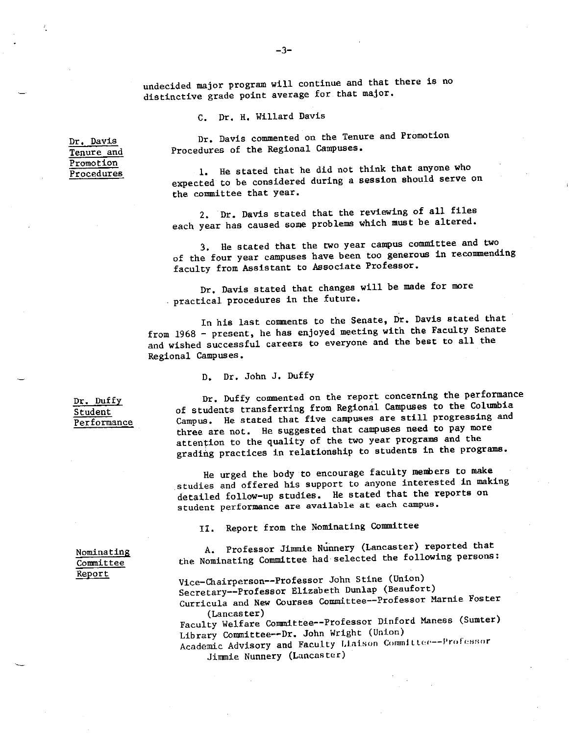undecided major program will continue and that there is no distinctive grade point average for that major.

C. Dr. H. Willard Davis

Dr. Davis commented on the Tenure and Promotion Procedures of the Regional Campuses.

1. He stated that he did not think that anyone who expected to be considered during a session should serve on the committee that year.

2. Dr. Davis stated that the reviewing of all files each year has caused some problems which must be altered.

3. He stated that the two year campus committee and two of the four year campuses have been too generous in recommending faculty from Assistant to Associate Professor.

Dr. Davis stated that changes will be made for more practical procedures in the future.

In his last comments to the Senate, Dr. Davis stated that from 1968 - present, he has enjoyed meeting with the Faculty Senate and wished successful careers to everyone and the best to all the Regional Campuses.

D. Dr. John J. Duffy

Dr. Duffy Student Performance

**Dr. Davis**  Tenure and Promotion **Procedures** 

> Dr. Duffy commented on the report concerning the performance of students transferring from Regional Campuses to the Columbia Campus. He stated that five campuses are still progressing and three are not. He suggested that campuses need to pay more attention to the quality of the two year programs and the grading practices in relationship to students in the programs.

He urged the body to encourage faculty menbers to make studies and offered his support to anyone interested in making detailed follow-up studies. He stated that the reports on **student performance are available at each campus.** 

II. Report from the Nominating Committee

A. Professor Jimmie Nunnery (Lancaster) reported that the Nominating Committee had selected the following persons:

Nominating **Committee**  Report

Vice-Chairperson--Professor John Stine (Union) Secretary--Professor Elizabeth Dunlap (Beaufort) **Curricula and New Courses Committee--Professor Marnie Foster**  (Lancaster)

Faculty Welfare Committee--Professor Dinford Maness (Sumter) Library Committee--Dr. John Wright (Union)

**Academic Advisory and Faculty Liaison Committee--Professor** Jimmie Nunnery (Lancaster)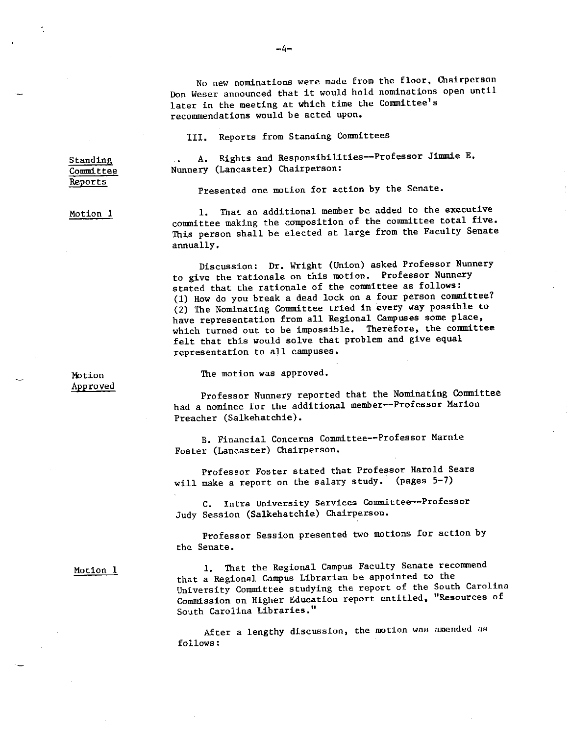**No new nominations were made from the floor, Chairperson**  Don Weser announced that it would hold nominations open until later in the meeting at which time the Committee's recommendations would be acted upon.

III. Reports from Standing Committees

A. Rights and Responsibilities--Professor Jimmie E. Nunnery (Lancaster) Chairperson:

Presented one motion for action by the Senate.

Motion l

Standing Committee **Reports** 

> 1. That an additional member be added to the executive committee making the composition of the committee total five. This person shall be elected at large from the Faculty Senate annually.

Discussion: Dr. Wright (Union) asked Professor Nunnery to give the rationale on this motion. Professor Nunnery stated that the rationale of the committee as follows: (1) How do you break a dead lock on a four person committee? (2) The Nominating Committee tried in every way possible to have representation from all Regional campuses some place, which turned out to be impossible. Therefore, the committee felt that this would solve that problem and give equa<sup>l</sup> representation to all campuses.

Motion Approved The motion was approved.

Professor Nunnery reported that the Nominating Committee had a nominee for the additional member--Professor Marion Preacher (Salkehatchie).

B. Financial Concerns Committee--Professor Marnie Foster (Lancaster) Chairperson.

Professor Foster stated that Professor Harold Sears will make a report on the salary study. (pages 5-7)

**C. Intra University Services C.Ommittee--Professor**  Judy Session (Salkehatchie) Chairperson.

Professor Session presented two motions for action by the Senate.

Motion 1

1. That the Regional Campus Faculty Senate recommend that a Regional Campus Librarian be appointed to the University Committee studying the report of the South Carolina **Commission on Higher Education report entitled, "Resources of**  South Carolina Libraries."

**After a lengthy discussion, the motion waH amended aH**  follows:

 $-4-$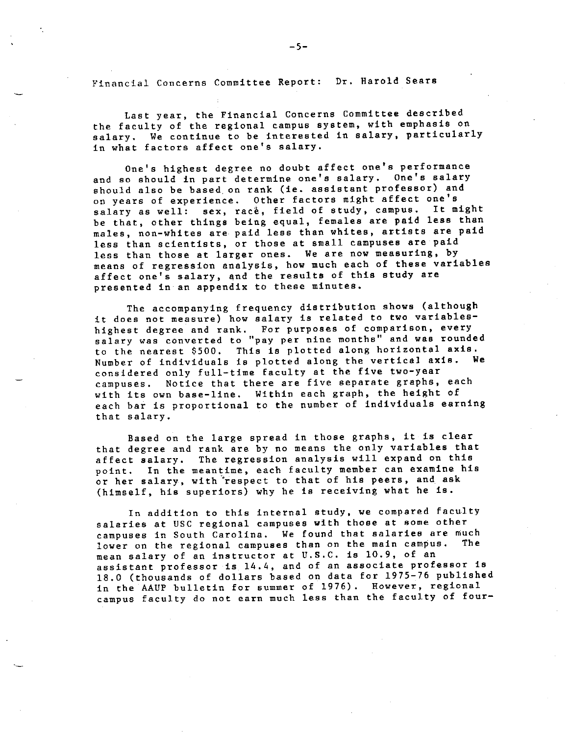Financial Concerns Committee Report: Dr. Harold Sears

Last year, the Financial Concerns Committee described the faculty of the regional campus system, with emphasis on salary. We continue to be interested in salary, particularly in what factors affect one's salary.

One's highest degree no doubt affect one's performance and so should in part determine one's salary, One's salary should also be based. on rank (ie. assistant professor) and on years of experience. Other factors might affect one's salary as well: sex, race, field of study, campus. It might be that, other things being equal, females are paid less than males, non-whites are paid less than whites, artists are paid less than scientists, or those at small campuses are paid less than those at larger ones. We are now measuring, by means of regression analysis, how much each of these variables affect one's salary, and the results of this study are presented in an appendix to these minutes.

The accompanying frequency distribution shows (although it does not measure) how salary is related to two variableshighest degree and rank. For purposes of comparison, every **salary was converted to ''pay per nine months'' and was rounded**  to the nearest \$500. This is plotted along horizontal **axis.**  Number of individuals is plotted along the vertical **axis. We**  considered only full-time faculty at the five two-year campuses. Notice that there are five separate graphs, each with its own base-line. Within each graph, the height of each bar is proportional to the number of individuals earning that salary.

Based on the large spread in those graphs, it is clear that degree and rank are by no means the only variables that affect salary. The regression analysis will expand on this point. In the meantime, each faculty member can examine his or her salary, with respect to that of his peers, and ask (himself, his superiors) why he is receiving what he is.

In addition to this internal study, we compared faculty salaries at USC regional campuses with those at some other campuses in South Carolina. We found that salaries are much lower on the regional campuses than on the main campus. mean salary of an instructor at U.S.C. is 10.9, of an assistant professor is 14,4, and of an associate professor is 18,0 (thousands of dollars based on data for 1975-76 published in the AAUP bulletin for summer of 1976). However, regional campus faculty do not earn much less than the faculty of four-

·-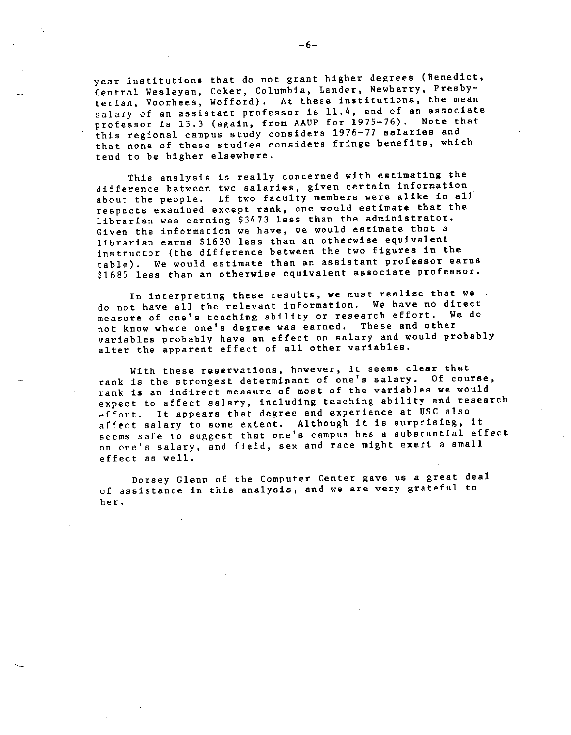year institutions that do not grant higher degrees (Benedict, Central Wesleyan, Coker, Columbia, Lander, Newberry, Presbyterian, Voorhees, Wofford). At these institutions, the mean salary of an assistant professor is 11.4, and of an associate professor is 13,3 (again, from AAUP for 1975-76). Note that this regional campus study considers 1976-77 salaries and that none of these studies considers fringe benefits, which tend to be higher elsewhere.

This analysis is really concerned with estimating the difference between two salaries, given certain information about the people. If two faculty members were alike in all respects examined except rank, one would estimate that the librarian was earning \$3473 less than the administrator, Given the information we have, we would estimate that <sup>a</sup> librarian earns \$1630 less than an otherwise equivalent instructor (the difference between the two figures in the table). We would estimate than an assistant professor earns \$1685 less than an otherwise equivalent associate professor.

In interpreting these results, we must realize that we do not have all the relevant information. We have no direct<br>manaure of one's teaching ability or research effort. We do measure of one's teaching ability or research effort. not know where one's degree was earned. These and other variables probably have an effect on salary and would probably alter the apparent effect of all other variables.

With these reservations, however, it seems clear that rank is the strongest determinant of one's salary. Of course, rank is an indirect measure of most of the variables we would expect to affect salary, including teaching ability and research effort. It appears that degree and experience at USC also affect salary to some extent. Although it is surprising, it seems safe to suggest that one's campus has a substantial effect on one's salary, and field, sex and race might exert a small effect as well.

Dorsey Glenn of the Computer Center gave us a great deal of assistance in this analysis, and we are very grateful to **her.** 

·-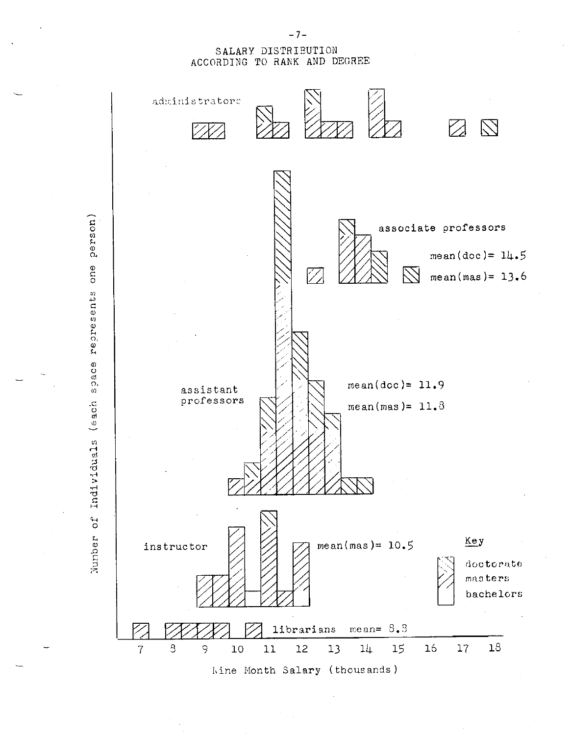## SALARY DISTRIEUTION ACCORDING TO RANK AND DECREE



kine Month Salary (thousands)

- 7-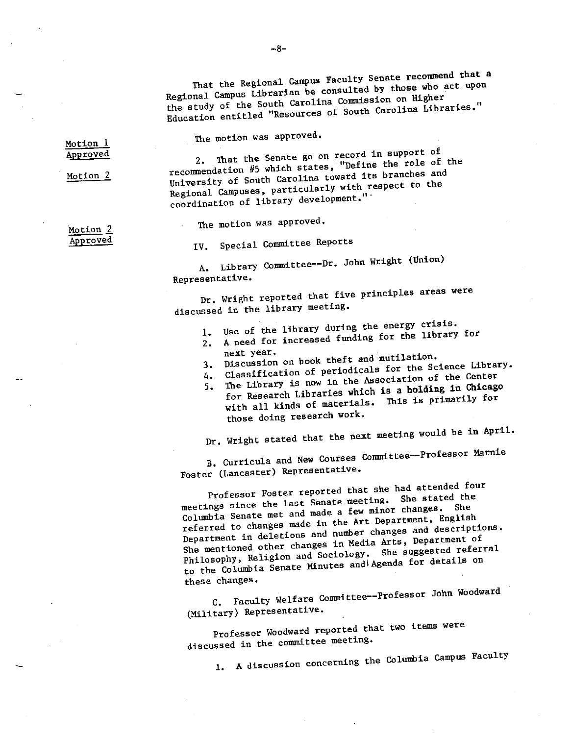That the Regional Campus Faculty Senate recommend that <sup>a</sup> Regional Campus Librarian be consulted by those who act upon the study of the South Carolina Conmission on Higher Education entitled "Resources of South Carolina Libraries."

The motion was approved.

Motion 1 Approve<sup>d</sup>

Motion 2

2. That the Senate go on record in support of recommendation 115 which states, "Define the role of the University of South Carolina toward its branches and Regional Campuses, particularly with respect to the coordination of library development."·

The motion was approved.

·Motion 2 Approve<sup>d</sup>

IV. Special Committee Reports

A. Library Committee--Dr. John Wright (Union) Representative.

Dr. Wright reported that five principles areas were discussed in the library meeting.

- 1. Use of the library during the energy crisis.
- z. A need for increased funding for the library for
- next year.<br>3. Discussion on book theft and mutilation.
- 4. Classification of periodicals for the Science Library.
- 5. The Library is now in the Association of the Center
- for Research Libraries which **is** a **holding in Chicago**  with all kinds of materials. This is primarily for those doing research work.

Dr, Wright stated that the next meeting would be in April.

B. Curricula and New Courses Committee--Professor Marnie

Foster (Lancaster) Representative,

Professor Foster reported that she had attended four meetings since the last Senate meeting. She stated the Columbia Senate met and made a few minor changes, She referred to changes made in the Art Department, English Department in deletions and number changes and descriptions. She mentioned other changes in Media Arts, Department of Philosophy, Religion and Sociology. She suggested referral to the Columbia Senate Minutes and Agenda for details on these changes.

C. Faculty Welfare Committee--Professor John Woodward (Military) Representative.

Professor Woodward reported that two items were discussed in the committee meeting.

1. A discussion concerning the Columbia Campus Faculty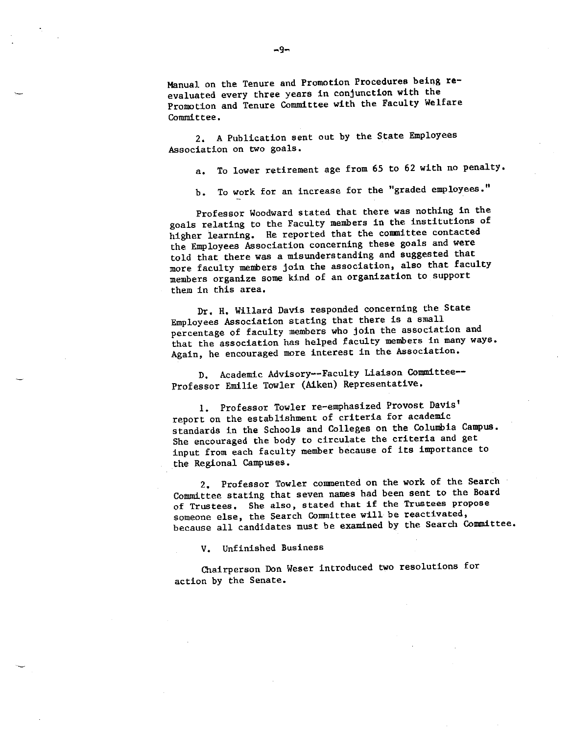Manual on the Tenure and Promotion Procedures being **re**evaluated every three years in conjunction with the Promotion and Tenure Committee with the Faculty Welfare Committee,

2, A Publication sent out by the State Employees Association on two goals.

a, To lower retirement age from 65 to 62 with no penalty.

b. To work for an increase for the "graded employees."

Professor Woodward stated that there was nothing in the goals relating to the Faculty members in the institutions of higher learning. He reported that the conmittee contacted the Employees Association concerning these goals and were told that there was a misunderstanding and suggested that more faculty members join the association, also that faculty members organize some kind of an organization to suppor<sup>t</sup> them in this area,

Dr, H. Willard Davis responded concerning the State Employees Association stating that there is a small percentage of faculty members who join the association and that the association has helped faculty members in many ways. Again, he encouraged more interest in the Association.

D, Academic Advisory--Faculty Liaison Committee-- Professor Emilie Towler (Aiken) Representative,

1. Professor Towler re-emphasized Provost Davis' report on the establishment of criteria for academic standards in the Schools and Colleges on the Columbia Campus. She encouraged the body to circulate the criteria and ge<sup>t</sup> input from each faculty member because of its importance to the Regional campuses.

2. Professor Towler commented on the work of the Search Committee stating that seven names had been sent to the Board **of Trustees. She also, stated that if the Trustees propose**  someone else, the Search Committee will be reactivated, because all candidates must be examined by the Search Committee.

V. Unfinished Business

Chairperson Don Weser introduced two resolutions for action by the Senate.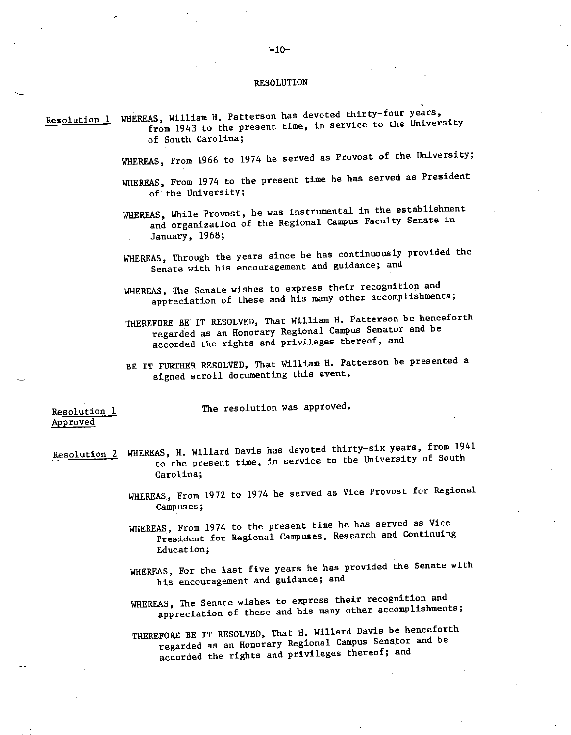#### RESOLUTION

Resolution 1 WHEREAS, William H. Patterson has devoted thirty-four years, from 1943 to the present time, in service to the University of South Carolina;

WHEREAS, From 1966 to 1974 he served as Provost of the University;

WHEREAS, From 1974 to the present time he has served as President of the University;

WHEREAS, While Provost, he was instrumental in the establishment and organization of the Regional Campus Faculty Senate in January, 1968;

WHEREAS, Through the years since he has continuously provided the Senate with his encouragement and guidance; and

WHEREAS, The Senate wishes to express their recognition and appreciation of these and his many other accomplishments;

THEREFORE BE IT RESOLVED, That William H. Patterson be henceforth regarded as an Honorary Regional Campus Senator and be accorded the rights and privileges thereof, and

BE IT FURTHER RESOLVED, That William H. Patterson be presented <sup>a</sup> signed scroll documenting this event,

Resolution 1 The resolution was approved.

Approved

·-

- Resolution 2 WHEREAS, H. Willard Davis has devoted thirty-six years, from 1941 to the present time, in service to the University of South Carolina;
	- WHEREAS., From 1972 to 1974 he served as Vice Provost for Regional **campuses;**
	- WHEREAS, From 1974 to the present time he has served as Vice President for Regional Campuses, Research and Continuing Education;
	- WHEREAS, For the last five years he has provided the Senate with his encouragement and guidance; and
	- WHEREAS, The Senate wishes to express their recognition and appreciation of these and his many other accomplishments;

THEREFORE BE IT RESOLVED, That H. Willard Davis be henceforth regarded as an Honorary Regional Campus Senator and be accorded the rights and privileges thereof; and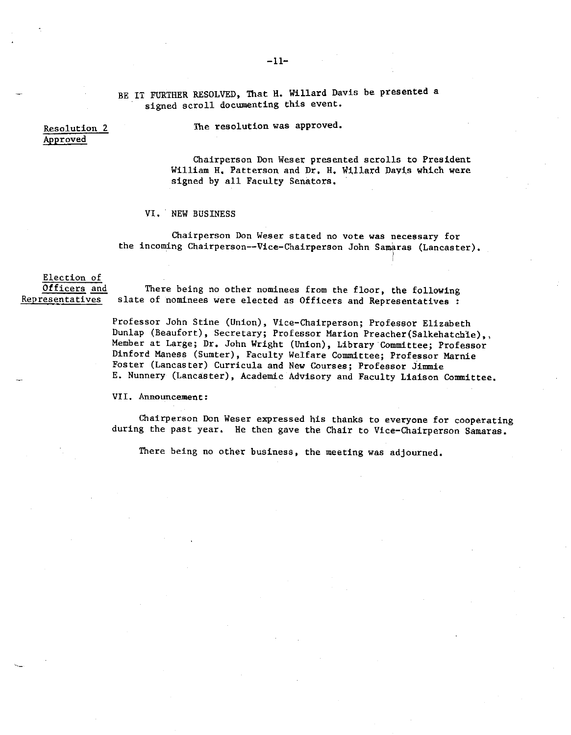-11-

BE IT FURTHER RESOLVED, That H. Willard Davis be presented a signed scroll documenting this event.

Resolution 2 Approved

The resolution was approved.

Chairperson Don Weser presented scrolls to President William H. Patterson and Dr. H. Willard Davis which were signed by all Faculty Senators.

VI. NEW BUSINESS

**Chairperson Don Weser stated no vote was necessary for**  the incoming Chairperson--Vice-Chairperson John Samaras (Lancaster).

Election of Officers and **Rep res en ta ti ves** 

There being no other nominees from the floor, the following slate of nominees were elected as Officers and Representatives :

Professor John Stine (Union), Vice-Chairperson; Professor Elizabeth Dunlap (Beaufort), Secretary; Professor Marion Preacher(Salkehatchle),, Member at Large; Dr. John Wright (Union), Library Committee; Professor Dinford Maness (Sumter), Faculty Welfare Committee; Professor Marnie **Foster (Lancaster) Curricula and New Courses; Professor Jimmie**  E. Nunnery (Lancaster), Academic Advisory and Faculty Liaison Committee.

**VII. Announcement:** 

Chairperson Don Weser expressed his thanks to everyone for cooperating during the past year. He then gave the Chair to Vice-Chairperson Samaras.

There being no other business, the meeting was adjourned.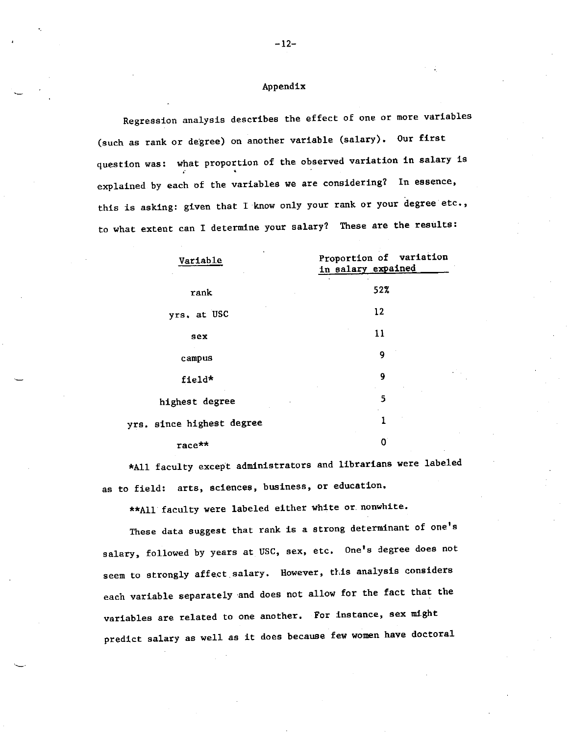## Appendix

Regression analysis describes the effect of one or more variables (such as rank or degree) on another variable (salary). Our first question was: what proportion of the observed variation in salary is explained by each of the variables we are considering? In essence, this is asking: given that I know only your rank or your degree etc., to what extent can I determine your salary? These are the results:

| Proportion of variation<br>Variable<br>in salary expained |         |  |
|-----------------------------------------------------------|---------|--|
| rank                                                      | 52%     |  |
| yrs. at USC                                               | $12 \,$ |  |
| sex                                                       | 11      |  |
| campus                                                    | 9       |  |
| field*                                                    | 9       |  |
| highest degree                                            | 5       |  |
| yrs. since highest degree                                 | ı       |  |
| race**                                                    | 0       |  |

\*All faculty except administrators and librarians were labeled as to field: arts, sciences, business, or education,

\*\*All faculty were labeled either white or. nonwhite.

These data suggest that rank is a strong determinant of one's salary, followed by years at USC, sex, etc. One's degree does not seem to strongly affect salary. However, this analysis considers each variable separately and does not allow for the fact that the variables are related to one another. For instance, sex might predict salary as well as it does because few women have doctoral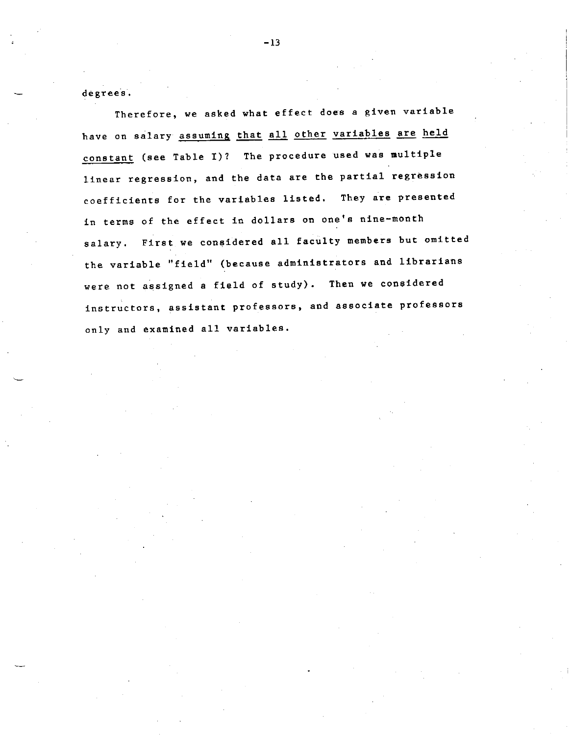degrees.

Therefore, we asked what effect does a given variable have on salary assuming that all other variables are held constant (see Table I)? The procedure used was multiple linear regression, and the data are the partial regression coefficients for the variables listed. They **are** presented in terms of the effect in dollars on one's nine-month salary. First we considered all faculty members but omitted the variable ''field'' (because administrators and librarians were not assigned a field of study). Then we considered **instructors, assistant professors, and associate professors**  only and examined all variables.